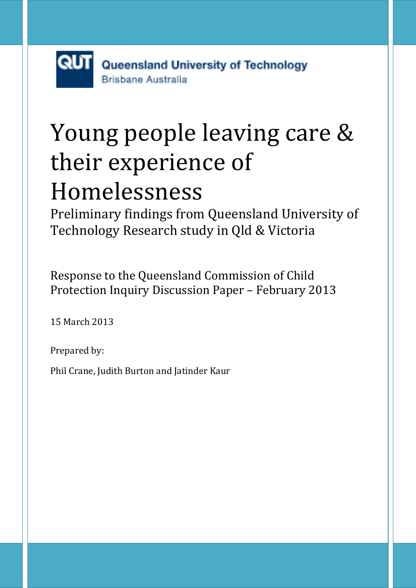# Young people leaving care & their experience of Homelessness

Preliminary findings from Queensland University of Technology Research study in Qld & Victoria

Response to the Queensland Commission of Child Protection Inquiry Discussion Paper – February 2013

15 March 2013

Prepared by:

Phil Crane, Judith Burton and Jatinder Kaur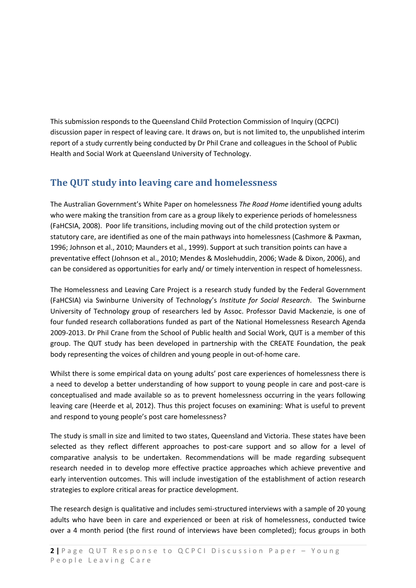This submission responds to the Queensland Child Protection Commission of Inquiry (QCPCI) discussion paper in respect of leaving care. It draws on, but is not limited to, the unpublished interim report of a study currently being conducted by Dr Phil Crane and colleagues in the School of Public Health and Social Work at Queensland University of Technology.

# **The QUT study into leaving care and homelessness**

The Australian Government's White Paper on homelessness *The Road Home* identified young adults who were making the transition from care as a group likely to experience periods of homelessness (FaHCSIA, 2008). Poor life transitions, including moving out of the child protection system or statutory care, are identified as one of the main pathways into homelessness (Cashmore & Paxman, 1996; Johnson et al., 2010; Maunders et al., 1999). Support at such transition points can have a preventative effect (Johnson et al., 2010; Mendes & Moslehuddin, 2006; Wade & Dixon, 2006), and can be considered as opportunities for early and/ or timely intervention in respect of homelessness.

The Homelessness and Leaving Care Project is a research study funded by the Federal Government (FaHCSIA) via Swinburne University of Technology's *Institute for Social Research*. The Swinburne University of Technology group of researchers led by Assoc. Professor David Mackenzie, is one of four funded research collaborations funded as part of the National Homelessness Research Agenda 2009-2013. Dr Phil Crane from the School of Public health and Social Work, QUT is a member of this group. The QUT study has been developed in partnership with the CREATE Foundation, the peak body representing the voices of children and young people in out-of-home care.

Whilst there is some empirical data on young adults' post care experiences of homelessness there is a need to develop a better understanding of how support to young people in care and post-care is conceptualised and made available so as to prevent homelessness occurring in the years following leaving care (Heerde et al, 2012). Thus this project focuses on examining: What is useful to prevent and respond to young people's post care homelessness?

The study is small in size and limited to two states, Queensland and Victoria. These states have been selected as they reflect different approaches to post-care support and so allow for a level of comparative analysis to be undertaken. Recommendations will be made regarding subsequent research needed in to develop more effective practice approaches which achieve preventive and early intervention outcomes. This will include investigation of the establishment of action research strategies to explore critical areas for practice development.

The research design is qualitative and includes semi-structured interviews with a sample of 20 young adults who have been in care and experienced or been at risk of homelessness, conducted twice over a 4 month period (the first round of interviews have been completed); focus groups in both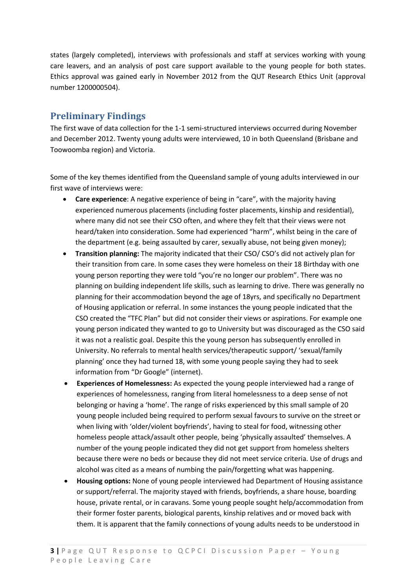states (largely completed), interviews with professionals and staff at services working with young care leavers, and an analysis of post care support available to the young people for both states. Ethics approval was gained early in November 2012 from the QUT Research Ethics Unit (approval number 1200000504).

### **Preliminary Findings**

The first wave of data collection for the 1-1 semi-structured interviews occurred during November and December 2012. Twenty young adults were interviewed, 10 in both Queensland (Brisbane and Toowoomba region) and Victoria.

Some of the key themes identified from the Queensland sample of young adults interviewed in our first wave of interviews were:

- **Care experience**: A negative experience of being in "care", with the majority having experienced numerous placements (including foster placements, kinship and residential), where many did not see their CSO often, and where they felt that their views were not heard/taken into consideration. Some had experienced "harm", whilst being in the care of the department (e.g. being assaulted by carer, sexually abuse, not being given money);
- **Transition planning:** The majority indicated that their CSO/ CSO's did not actively plan for their transition from care. In some cases they were homeless on their 18 Birthday with one young person reporting they were told "you're no longer our problem". There was no planning on building independent life skills, such as learning to drive. There was generally no planning for their accommodation beyond the age of 18yrs, and specifically no Department of Housing application or referral. In some instances the young people indicated that the CSO created the "TFC Plan" but did not consider their views or aspirations. For example one young person indicated they wanted to go to University but was discouraged as the CSO said it was not a realistic goal. Despite this the young person has subsequently enrolled in University. No referrals to mental health services/therapeutic support/ 'sexual/family planning' once they had turned 18, with some young people saying they had to seek information from "Dr Google" (internet).
- **Experiences of Homelessness:** As expected the young people interviewed had a range of experiences of homelessness, ranging from literal homelessness to a deep sense of not belonging or having a 'home'. The range of risks experienced by this small sample of 20 young people included being required to perform sexual favours to survive on the street or when living with 'older/violent boyfriends', having to steal for food, witnessing other homeless people attack/assault other people, being 'physically assaulted' themselves. A number of the young people indicated they did not get support from homeless shelters because there were no beds or because they did not meet service criteria. Use of drugs and alcohol was cited as a means of numbing the pain/forgetting what was happening.
- **Housing options:** None of young people interviewed had Department of Housing assistance or support/referral. The majority stayed with friends, boyfriends, a share house, boarding house, private rental, or in caravans. Some young people sought help/accommodation from their former foster parents, biological parents, kinship relatives and or moved back with them. It is apparent that the family connections of young adults needs to be understood in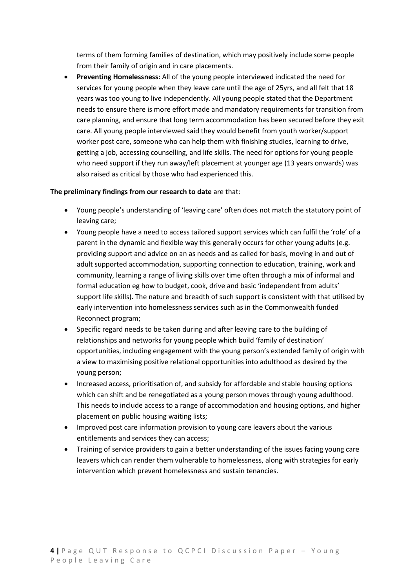terms of them forming families of destination, which may positively include some people from their family of origin and in care placements.

 **Preventing Homelessness:** All of the young people interviewed indicated the need for services for young people when they leave care until the age of 25yrs, and all felt that 18 years was too young to live independently. All young people stated that the Department needs to ensure there is more effort made and mandatory requirements for transition from care planning, and ensure that long term accommodation has been secured before they exit care. All young people interviewed said they would benefit from youth worker/support worker post care, someone who can help them with finishing studies, learning to drive, getting a job, accessing counselling, and life skills. The need for options for young people who need support if they run away/left placement at younger age (13 years onwards) was also raised as critical by those who had experienced this.

#### **The preliminary findings from our research to date** are that:

- Young people's understanding of 'leaving care' often does not match the statutory point of leaving care;
- Young people have a need to access tailored support services which can fulfil the 'role' of a parent in the dynamic and flexible way this generally occurs for other young adults (e.g. providing support and advice on an as needs and as called for basis, moving in and out of adult supported accommodation, supporting connection to education, training, work and community, learning a range of living skills over time often through a mix of informal and formal education eg how to budget, cook, drive and basic 'independent from adults' support life skills). The nature and breadth of such support is consistent with that utilised by early intervention into homelessness services such as in the Commonwealth funded Reconnect program;
- Specific regard needs to be taken during and after leaving care to the building of relationships and networks for young people which build 'family of destination' opportunities, including engagement with the young person's extended family of origin with a view to maximising positive relational opportunities into adulthood as desired by the young person;
- Increased access, prioritisation of, and subsidy for affordable and stable housing options which can shift and be renegotiated as a young person moves through young adulthood. This needs to include access to a range of accommodation and housing options, and higher placement on public housing waiting lists;
- Improved post care information provision to young care leavers about the various entitlements and services they can access;
- Training of service providers to gain a better understanding of the issues facing young care leavers which can render them vulnerable to homelessness, along with strategies for early intervention which prevent homelessness and sustain tenancies.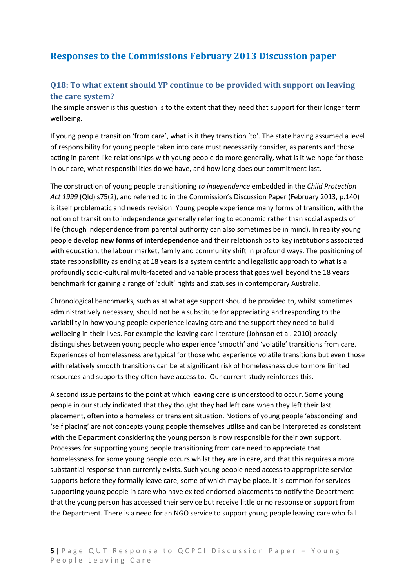# **Responses to the Commissions February 2013 Discussion paper**

### **Q18: To what extent should YP continue to be provided with support on leaving the care system?**

The simple answer is this question is to the extent that they need that support for their longer term wellbeing.

If young people transition 'from care', what is it they transition 'to'. The state having assumed a level of responsibility for young people taken into care must necessarily consider, as parents and those acting in parent like relationships with young people do more generally, what is it we hope for those in our care, what responsibilities do we have, and how long does our commitment last.

The construction of young people transitioning *to independence* embedded in the *Child Protection Act 1999* (Qld) s75(2), and referred to in the Commission's Discussion Paper (February 2013, p.140) is itself problematic and needs revision. Young people experience many forms of transition, with the notion of transition to independence generally referring to economic rather than social aspects of life (though independence from parental authority can also sometimes be in mind). In reality young people develop **new forms of interdependence** and their relationships to key institutions associated with education, the labour market, family and community shift in profound ways. The positioning of state responsibility as ending at 18 years is a system centric and legalistic approach to what is a profoundly socio-cultural multi-faceted and variable process that goes well beyond the 18 years benchmark for gaining a range of 'adult' rights and statuses in contemporary Australia.

Chronological benchmarks, such as at what age support should be provided to, whilst sometimes administratively necessary, should not be a substitute for appreciating and responding to the variability in how young people experience leaving care and the support they need to build wellbeing in their lives. For example the leaving care literature (Johnson et al. 2010) broadly distinguishes between young people who experience 'smooth' and 'volatile' transitions from care. Experiences of homelessness are typical for those who experience volatile transitions but even those with relatively smooth transitions can be at significant risk of homelessness due to more limited resources and supports they often have access to. Our current study reinforces this.

A second issue pertains to the point at which leaving care is understood to occur. Some young people in our study indicated that they thought they had left care when they left their last placement, often into a homeless or transient situation. Notions of young people 'absconding' and 'self placing' are not concepts young people themselves utilise and can be interpreted as consistent with the Department considering the young person is now responsible for their own support. Processes for supporting young people transitioning from care need to appreciate that homelessness for some young people occurs whilst they are in care, and that this requires a more substantial response than currently exists. Such young people need access to appropriate service supports before they formally leave care, some of which may be place. It is common for services supporting young people in care who have exited endorsed placements to notify the Department that the young person has accessed their service but receive little or no response or support from the Department. There is a need for an NGO service to support young people leaving care who fall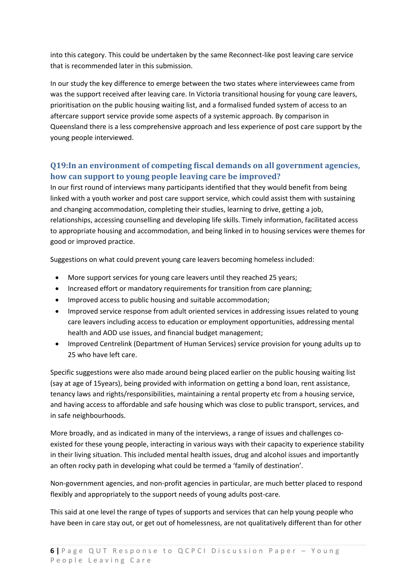into this category. This could be undertaken by the same Reconnect-like post leaving care service that is recommended later in this submission.

In our study the key difference to emerge between the two states where interviewees came from was the support received after leaving care. In Victoria transitional housing for young care leavers, prioritisation on the public housing waiting list, and a formalised funded system of access to an aftercare support service provide some aspects of a systemic approach. By comparison in Queensland there is a less comprehensive approach and less experience of post care support by the young people interviewed.

### **Q19:In an environment of competing fiscal demands on all government agencies, how can support to young people leaving care be improved?**

In our first round of interviews many participants identified that they would benefit from being linked with a youth worker and post care support service, which could assist them with sustaining and changing accommodation, completing their studies, learning to drive, getting a job, relationships, accessing counselling and developing life skills. Timely information, facilitated access to appropriate housing and accommodation, and being linked in to housing services were themes for good or improved practice.

Suggestions on what could prevent young care leavers becoming homeless included:

- More support services for young care leavers until they reached 25 years;
- Increased effort or mandatory requirements for transition from care planning;
- Improved access to public housing and suitable accommodation;
- Improved service response from adult oriented services in addressing issues related to young care leavers including access to education or employment opportunities, addressing mental health and AOD use issues, and financial budget management;
- Improved Centrelink (Department of Human Services) service provision for young adults up to 25 who have left care.

Specific suggestions were also made around being placed earlier on the public housing waiting list (say at age of 15years), being provided with information on getting a bond loan, rent assistance, tenancy laws and rights/responsibilities, maintaining a rental property etc from a housing service, and having access to affordable and safe housing which was close to public transport, services, and in safe neighbourhoods.

More broadly, and as indicated in many of the interviews, a range of issues and challenges coexisted for these young people, interacting in various ways with their capacity to experience stability in their living situation. This included mental health issues, drug and alcohol issues and importantly an often rocky path in developing what could be termed a 'family of destination'.

Non-government agencies, and non-profit agencies in particular, are much better placed to respond flexibly and appropriately to the support needs of young adults post-care.

This said at one level the range of types of supports and services that can help young people who have been in care stay out, or get out of homelessness, are not qualitatively different than for other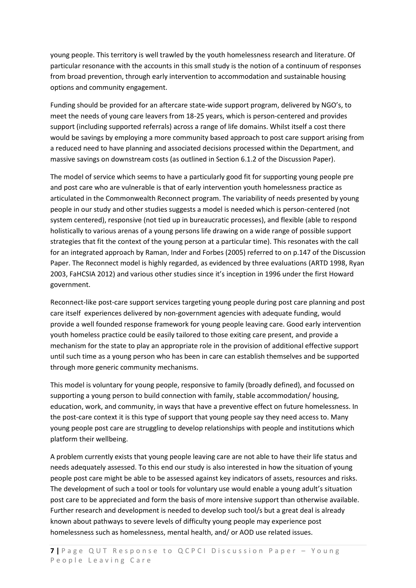young people. This territory is well trawled by the youth homelessness research and literature. Of particular resonance with the accounts in this small study is the notion of a continuum of responses from broad prevention, through early intervention to accommodation and sustainable housing options and community engagement.

Funding should be provided for an aftercare state-wide support program, delivered by NGO's, to meet the needs of young care leavers from 18-25 years, which is person-centered and provides support (including supported referrals) across a range of life domains. Whilst itself a cost there would be savings by employing a more community based approach to post care support arising from a reduced need to have planning and associated decisions processed within the Department, and massive savings on downstream costs (as outlined in Section 6.1.2 of the Discussion Paper).

The model of service which seems to have a particularly good fit for supporting young people pre and post care who are vulnerable is that of early intervention youth homelessness practice as articulated in the Commonwealth Reconnect program. The variability of needs presented by young people in our study and other studies suggests a model is needed which is person-centered (not system centered), responsive (not tied up in bureaucratic processes), and flexible (able to respond holistically to various arenas of a young persons life drawing on a wide range of possible support strategies that fit the context of the young person at a particular time). This resonates with the call for an integrated approach by Raman, Inder and Forbes (2005) referred to on p.147 of the Discussion Paper. The Reconnect model is highly regarded, as evidenced by three evaluations (ARTD 1998, Ryan 2003, FaHCSIA 2012) and various other studies since it's inception in 1996 under the first Howard government.

Reconnect-like post-care support services targeting young people during post care planning and post care itself experiences delivered by non-government agencies with adequate funding, would provide a well founded response framework for young people leaving care. Good early intervention youth homeless practice could be easily tailored to those exiting care present, and provide a mechanism for the state to play an appropriate role in the provision of additional effective support until such time as a young person who has been in care can establish themselves and be supported through more generic community mechanisms.

This model is voluntary for young people, responsive to family (broadly defined), and focussed on supporting a young person to build connection with family, stable accommodation/ housing, education, work, and community, in ways that have a preventive effect on future homelessness. In the post-care context it is this type of support that young people say they need access to. Many young people post care are struggling to develop relationships with people and institutions which platform their wellbeing.

A problem currently exists that young people leaving care are not able to have their life status and needs adequately assessed. To this end our study is also interested in how the situation of young people post care might be able to be assessed against key indicators of assets, resources and risks. The development of such a tool or tools for voluntary use would enable a young adult's situation post care to be appreciated and form the basis of more intensive support than otherwise available. Further research and development is needed to develop such tool/s but a great deal is already known about pathways to severe levels of difficulty young people may experience post homelessness such as homelessness, mental health, and/ or AOD use related issues.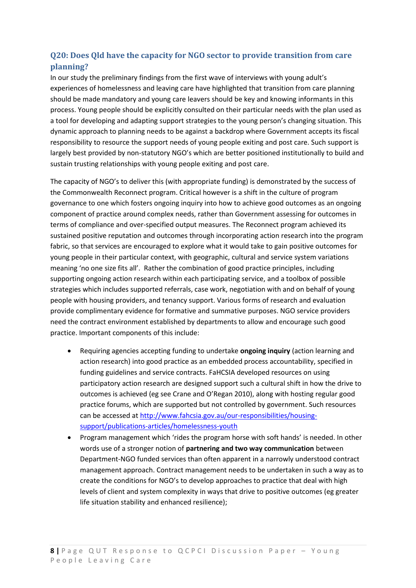## **Q20: Does Qld have the capacity for NGO sector to provide transition from care planning?**

In our study the preliminary findings from the first wave of interviews with young adult's experiences of homelessness and leaving care have highlighted that transition from care planning should be made mandatory and young care leavers should be key and knowing informants in this process. Young people should be explicitly consulted on their particular needs with the plan used as a tool for developing and adapting support strategies to the young person's changing situation. This dynamic approach to planning needs to be against a backdrop where Government accepts its fiscal responsibility to resource the support needs of young people exiting and post care. Such support is largely best provided by non-statutory NGO's which are better positioned institutionally to build and sustain trusting relationships with young people exiting and post care.

The capacity of NGO's to deliver this (with appropriate funding) is demonstrated by the success of the Commonwealth Reconnect program. Critical however is a shift in the culture of program governance to one which fosters ongoing inquiry into how to achieve good outcomes as an ongoing component of practice around complex needs, rather than Government assessing for outcomes in terms of compliance and over-specified output measures. The Reconnect program achieved its sustained positive reputation and outcomes through incorporating action research into the program fabric, so that services are encouraged to explore what it would take to gain positive outcomes for young people in their particular context, with geographic, cultural and service system variations meaning 'no one size fits all'. Rather the combination of good practice principles, including supporting ongoing action research within each participating service, and a toolbox of possible strategies which includes supported referrals, case work, negotiation with and on behalf of young people with housing providers, and tenancy support. Various forms of research and evaluation provide complimentary evidence for formative and summative purposes. NGO service providers need the contract environment established by departments to allow and encourage such good practice. Important components of this include:

- Requiring agencies accepting funding to undertake **ongoing inquiry** (action learning and action research) into good practice as an embedded process accountability, specified in funding guidelines and service contracts. FaHCSIA developed resources on using participatory action research are designed support such a cultural shift in how the drive to outcomes is achieved (eg see Crane and O'Regan 2010), along with hosting regular good practice forums, which are supported but not controlled by government. Such resources can be accessed at [http://www.fahcsia.gov.au/our-responsibilities/housing](http://www.fahcsia.gov.au/our-responsibilities/housing-support/publications-articles/homelessness-youth)[support/publications-articles/homelessness-youth](http://www.fahcsia.gov.au/our-responsibilities/housing-support/publications-articles/homelessness-youth)
- Program management which 'rides the program horse with soft hands' is needed. In other words use of a stronger notion of **partnering and two way communication** between Department-NGO funded services than often apparent in a narrowly understood contract management approach. Contract management needs to be undertaken in such a way as to create the conditions for NGO's to develop approaches to practice that deal with high levels of client and system complexity in ways that drive to positive outcomes (eg greater life situation stability and enhanced resilience);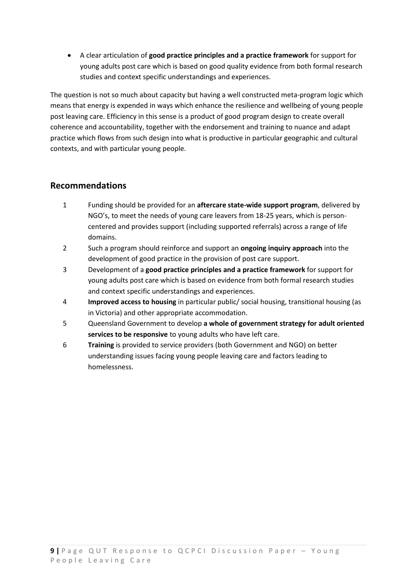A clear articulation of **good practice principles and a practice framework** for support for young adults post care which is based on good quality evidence from both formal research studies and context specific understandings and experiences.

The question is not so much about capacity but having a well constructed meta-program logic which means that energy is expended in ways which enhance the resilience and wellbeing of young people post leaving care. Efficiency in this sense is a product of good program design to create overall coherence and accountability, together with the endorsement and training to nuance and adapt practice which flows from such design into what is productive in particular geographic and cultural contexts, and with particular young people.

#### **Recommendations**

- 1 Funding should be provided for an **aftercare state-wide support program**, delivered by NGO's, to meet the needs of young care leavers from 18-25 years, which is personcentered and provides support (including supported referrals) across a range of life domains.
- 2 Such a program should reinforce and support an **ongoing inquiry approach** into the development of good practice in the provision of post care support.
- 3 Development of a **good practice principles and a practice framework** for support for young adults post care which is based on evidence from both formal research studies and context specific understandings and experiences.
- 4 **Improved access to housing** in particular public/ social housing, transitional housing (as in Victoria) and other appropriate accommodation.
- 5 Queensland Government to develop **a whole of government strategy for adult oriented services to be responsive** to young adults who have left care.
- 6 **Training** is provided to service providers (both Government and NGO) on better understanding issues facing young people leaving care and factors leading to homelessness.